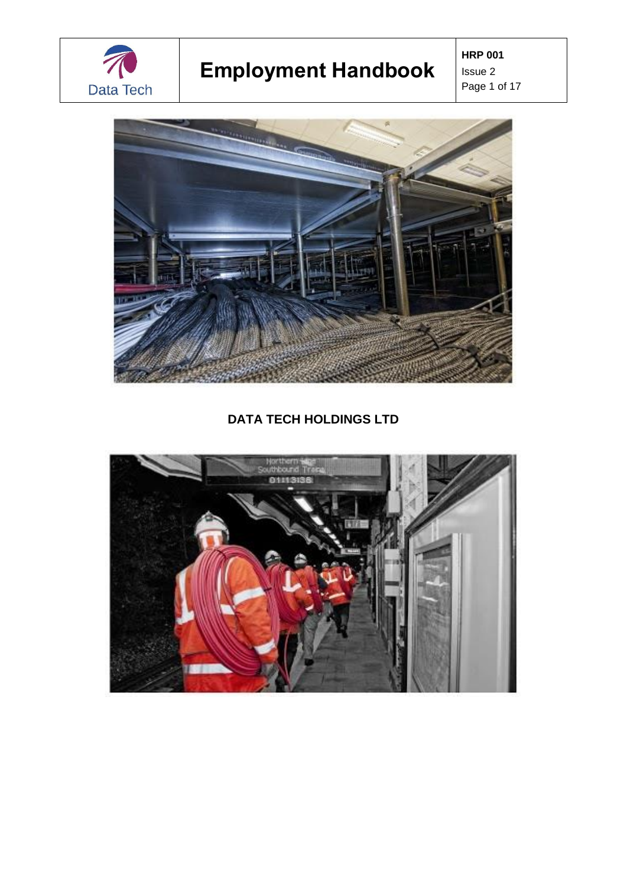

**HRP 001** Issue 2 Page 1 of 17



**DATA TECH HOLDINGS LTD**

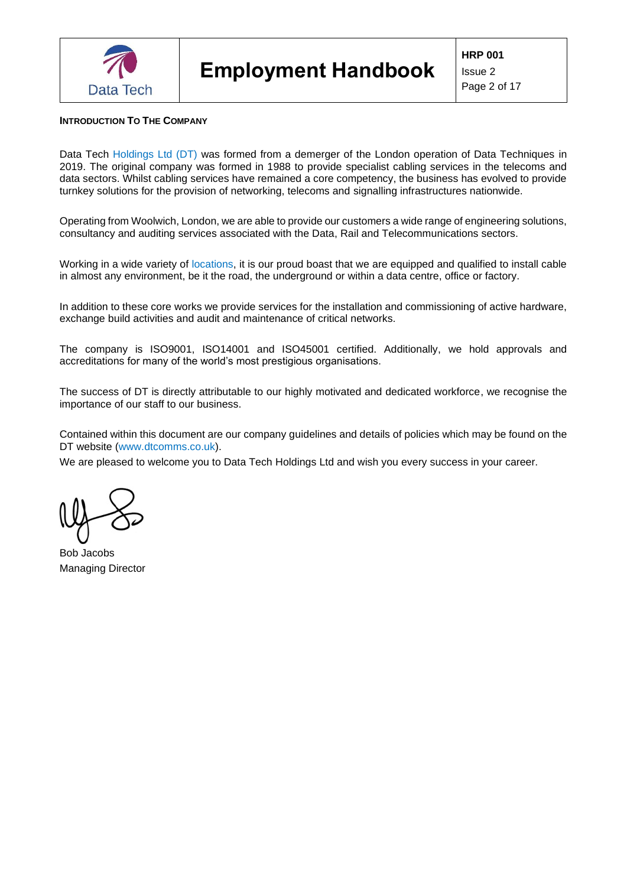

# <span id="page-1-0"></span>**INTRODUCTION TO THE COMPANY**

Data Tech Holdings Ltd (DT) was formed from a demerger of the London operation of Data Techniques in 2019. The original company was formed in 1988 to provide specialist cabling services in the telecoms and data sectors. Whilst cabling services have remained a core competency, the business has evolved to provide turnkey solutions for the provision of networking, telecoms and signalling infrastructures nationwide.

Operating from Woolwich, London, we are able to provide our customers a wide range of engineering solutions, consultancy and auditing services associated with the Data, Rail and Telecommunications sectors.

Working in a wide variety of locations, it is our proud boast that we are equipped and qualified to install cable in almost any environment, be it the road, the underground or within a data centre, office or factory.

In addition to these core works we provide services for the installation and commissioning of active hardware, exchange build activities and audit and maintenance of critical networks.

The company is ISO9001, ISO14001 and ISO45001 certified. Additionally, we hold approvals and accreditations for many of the world's most prestigious organisations.

The success of DT is directly attributable to our highly motivated and dedicated workforce, we recognise the importance of our staff to our business.

Contained within this document are our company guidelines and details of policies which may be found on the DT website (www.dtcomms.co.uk).

We are pleased to welcome you to Data Tech Holdings Ltd and wish you every success in your career.

Bob Jacobs Managing Director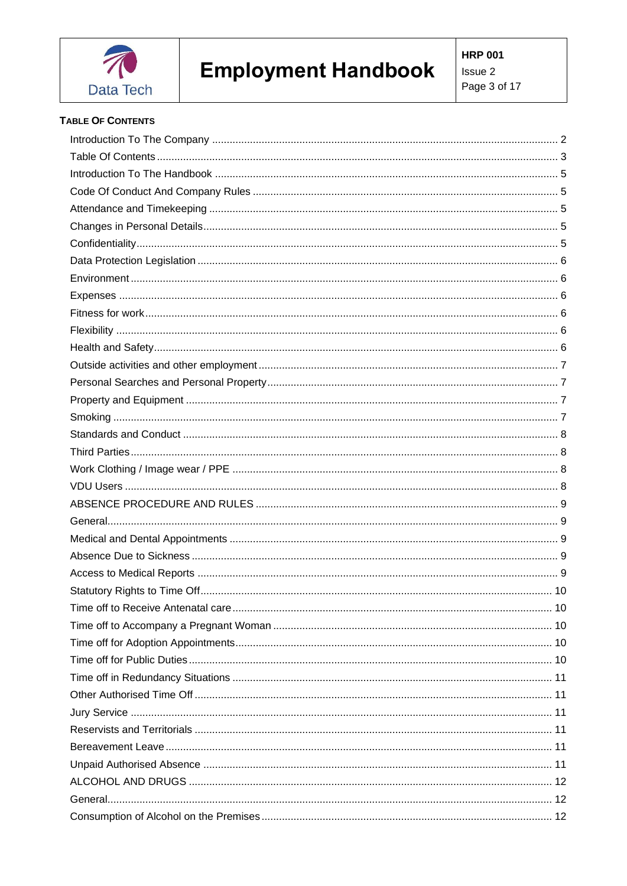

# <span id="page-2-0"></span>**TABLE OF CONTENTS**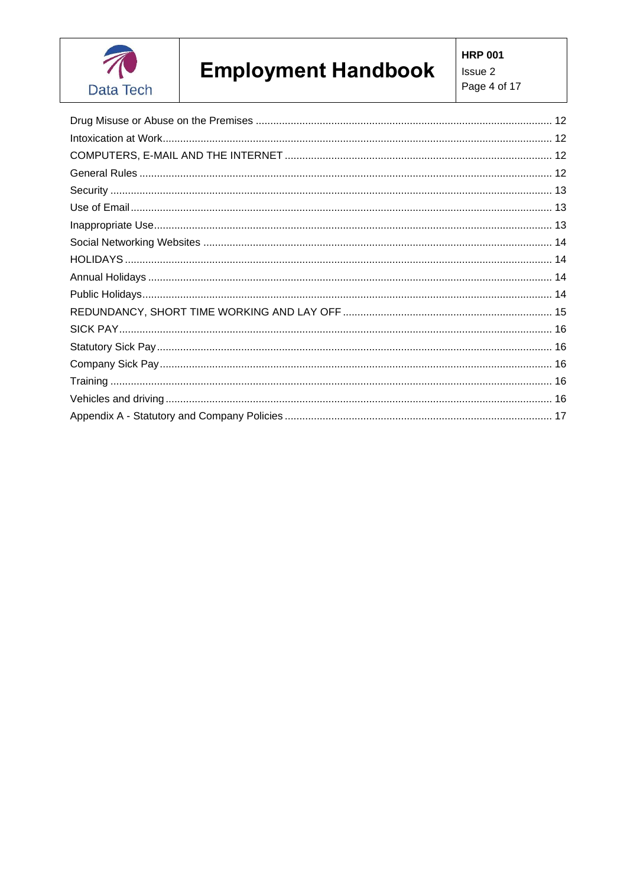

**HRP 001** Issue 2 Page 4 of 17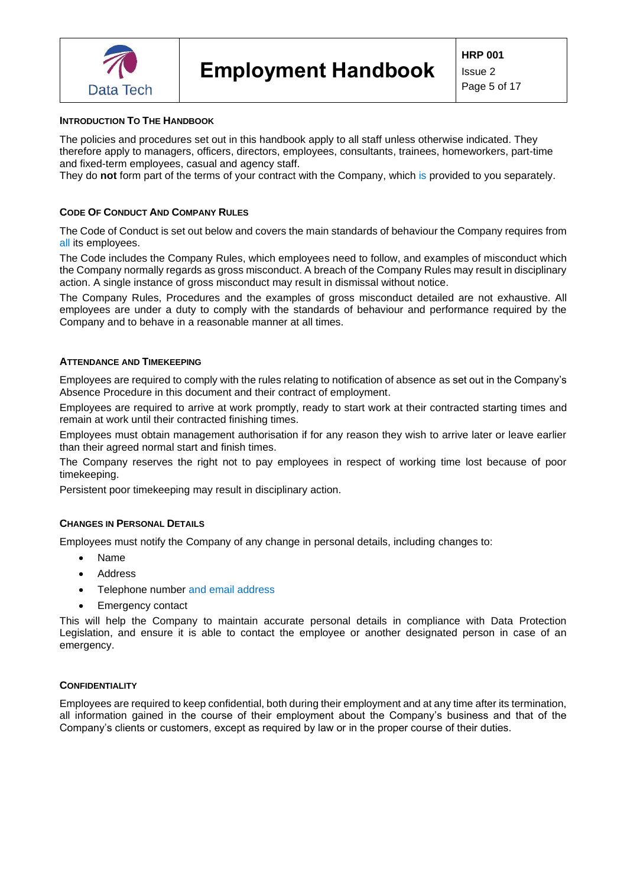

#### <span id="page-4-0"></span>**INTRODUCTION TO THE HANDBOOK**

The policies and procedures set out in this handbook apply to all staff unless otherwise indicated. They therefore apply to managers, officers, directors, employees, consultants, trainees, homeworkers, part-time and fixed-term employees, casual and agency staff.

They do **not** form part of the terms of your contract with the Company, which is provided to you separately.

#### <span id="page-4-1"></span>**CODE OF CONDUCT AND COMPANY RULES**

The Code of Conduct is set out below and covers the main standards of behaviour the Company requires from all its employees.

The Code includes the Company Rules, which employees need to follow, and examples of misconduct which the Company normally regards as gross misconduct. A breach of the Company Rules may result in disciplinary action. A single instance of gross misconduct may result in dismissal without notice.

The Company Rules, Procedures and the examples of gross misconduct detailed are not exhaustive. All employees are under a duty to comply with the standards of behaviour and performance required by the Company and to behave in a reasonable manner at all times.

#### <span id="page-4-2"></span>**ATTENDANCE AND TIMEKEEPING**

Employees are required to comply with the rules relating to notification of absence as set out in the Company's Absence Procedure in this document and their contract of employment.

Employees are required to arrive at work promptly, ready to start work at their contracted starting times and remain at work until their contracted finishing times.

Employees must obtain management authorisation if for any reason they wish to arrive later or leave earlier than their agreed normal start and finish times.

The Company reserves the right not to pay employees in respect of working time lost because of poor timekeeping.

Persistent poor timekeeping may result in disciplinary action.

#### <span id="page-4-3"></span>**CHANGES IN PERSONAL DETAILS**

Employees must notify the Company of any change in personal details, including changes to:

- Name
- Address
- Telephone number and email address
- Emergency contact

This will help the Company to maintain accurate personal details in compliance with Data Protection Legislation, and ensure it is able to contact the employee or another designated person in case of an emergency.

#### <span id="page-4-4"></span>**CONFIDENTIALITY**

Employees are required to keep confidential, both during their employment and at any time after its termination, all information gained in the course of their employment about the Company's business and that of the Company's clients or customers, except as required by law or in the proper course of their duties.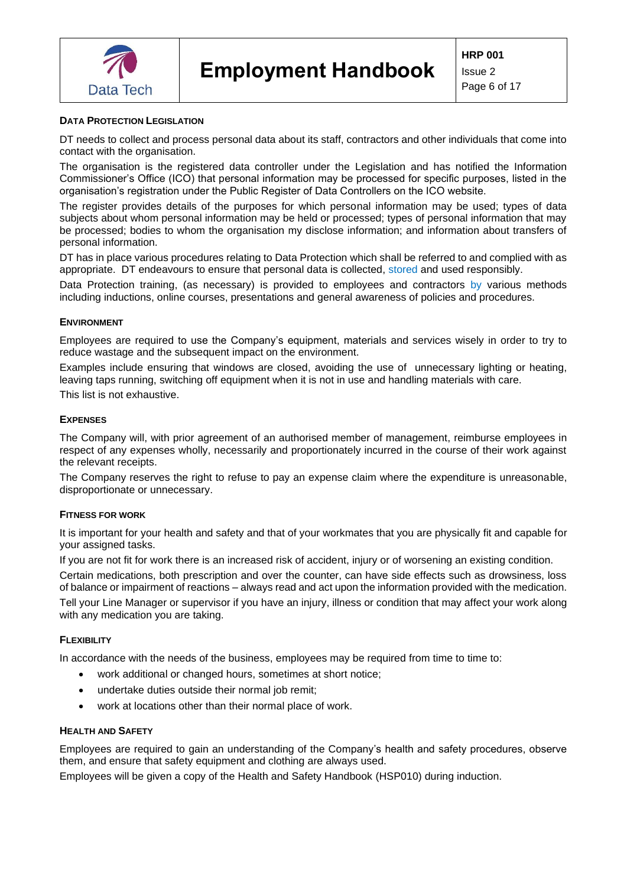

## <span id="page-5-0"></span>**DATA PROTECTION LEGISLATION**

DT needs to collect and process personal data about its staff, contractors and other individuals that come into contact with the organisation.

The organisation is the registered data controller under the Legislation and has notified the Information Commissioner's Office (ICO) that personal information may be processed for specific purposes, listed in the organisation's registration under the Public Register of Data Controllers on the ICO website.

The register provides details of the purposes for which personal information may be used; types of data subjects about whom personal information may be held or processed; types of personal information that may be processed; bodies to whom the organisation my disclose information; and information about transfers of personal information.

DT has in place various procedures relating to Data Protection which shall be referred to and complied with as appropriate. DT endeavours to ensure that personal data is collected, stored and used responsibly.

Data Protection training, (as necessary) is provided to employees and contractors by various methods including inductions, online courses, presentations and general awareness of policies and procedures.

#### <span id="page-5-1"></span>**ENVIRONMENT**

Employees are required to use the Company's equipment, materials and services wisely in order to try to reduce wastage and the subsequent impact on the environment.

Examples include ensuring that windows are closed, avoiding the use of unnecessary lighting or heating, leaving taps running, switching off equipment when it is not in use and handling materials with care.

This list is not exhaustive.

## <span id="page-5-2"></span>**EXPENSES**

The Company will, with prior agreement of an authorised member of management, reimburse employees in respect of any expenses wholly, necessarily and proportionately incurred in the course of their work against the relevant receipts.

The Company reserves the right to refuse to pay an expense claim where the expenditure is unreasonable, disproportionate or unnecessary.

#### <span id="page-5-3"></span>**FITNESS FOR WORK**

It is important for your health and safety and that of your workmates that you are physically fit and capable for your assigned tasks.

If you are not fit for work there is an increased risk of accident, injury or of worsening an existing condition.

Certain medications, both prescription and over the counter, can have side effects such as drowsiness, loss of balance or impairment of reactions – always read and act upon the information provided with the medication.

Tell your Line Manager or supervisor if you have an injury, illness or condition that may affect your work along with any medication you are taking.

#### <span id="page-5-4"></span>**FLEXIBILITY**

In accordance with the needs of the business, employees may be required from time to time to:

- work additional or changed hours, sometimes at short notice;
- undertake duties outside their normal job remit;
- work at locations other than their normal place of work.

#### <span id="page-5-5"></span>**HEALTH AND SAFETY**

Employees are required to gain an understanding of the Company's health and safety procedures, observe them, and ensure that safety equipment and clothing are always used.

Employees will be given a copy of the Health and Safety Handbook (HSP010) during induction.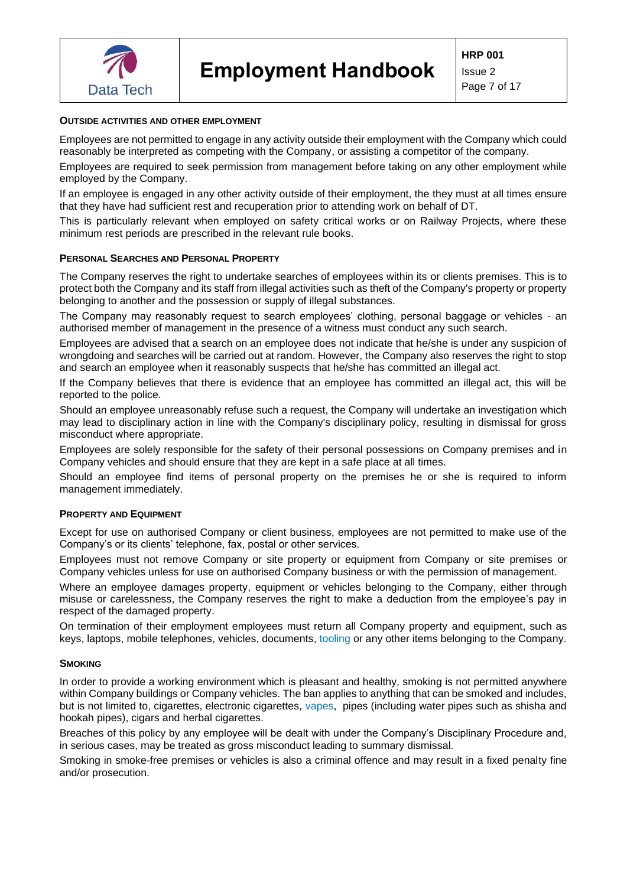

# <span id="page-6-0"></span>**OUTSIDE ACTIVITIES AND OTHER EMPLOYMENT**

Employees are not permitted to engage in any activity outside their employment with the Company which could reasonably be interpreted as competing with the Company, or assisting a competitor of the company.

Employees are required to seek permission from management before taking on any other employment while employed by the Company.

If an employee is engaged in any other activity outside of their employment, the they must at all times ensure that they have had sufficient rest and recuperation prior to attending work on behalf of DT.

This is particularly relevant when employed on safety critical works or on Railway Projects, where these minimum rest periods are prescribed in the relevant rule books.

#### <span id="page-6-1"></span>**PERSONAL SEARCHES AND PERSONAL PROPERTY**

The Company reserves the right to undertake searches of employees within its or clients premises. This is to protect both the Company and its staff from illegal activities such as theft of the Company's property or property belonging to another and the possession or supply of illegal substances.

The Company may reasonably request to search employees' clothing, personal baggage or vehicles - an authorised member of management in the presence of a witness must conduct any such search.

Employees are advised that a search on an employee does not indicate that he/she is under any suspicion of wrongdoing and searches will be carried out at random. However, the Company also reserves the right to stop and search an employee when it reasonably suspects that he/she has committed an illegal act.

If the Company believes that there is evidence that an employee has committed an illegal act, this will be reported to the police.

Should an employee unreasonably refuse such a request, the Company will undertake an investigation which may lead to disciplinary action in line with the Company's disciplinary policy, resulting in dismissal for gross misconduct where appropriate.

Employees are solely responsible for the safety of their personal possessions on Company premises and in Company vehicles and should ensure that they are kept in a safe place at all times.

Should an employee find items of personal property on the premises he or she is required to inform management immediately.

#### <span id="page-6-2"></span>**PROPERTY AND EQUIPMENT**

Except for use on authorised Company or client business, employees are not permitted to make use of the Company's or its clients' telephone, fax, postal or other services.

Employees must not remove Company or site property or equipment from Company or site premises or Company vehicles unless for use on authorised Company business or with the permission of management.

Where an employee damages property, equipment or vehicles belonging to the Company, either through misuse or carelessness, the Company reserves the right to make a deduction from the employee's pay in respect of the damaged property.

On termination of their employment employees must return all Company property and equipment, such as keys, laptops, mobile telephones, vehicles, documents, tooling or any other items belonging to the Company.

#### <span id="page-6-3"></span>**SMOKING**

In order to provide a working environment which is pleasant and healthy, smoking is not permitted anywhere within Company buildings or Company vehicles. The ban applies to anything that can be smoked and includes, but is not limited to, cigarettes, electronic cigarettes, vapes, pipes (including water pipes such as shisha and hookah pipes), cigars and herbal cigarettes.

Breaches of this policy by any employee will be dealt with under the Company's Disciplinary Procedure and, in serious cases, may be treated as gross misconduct leading to summary dismissal.

Smoking in smoke-free premises or vehicles is also a criminal offence and may result in a fixed penalty fine and/or prosecution.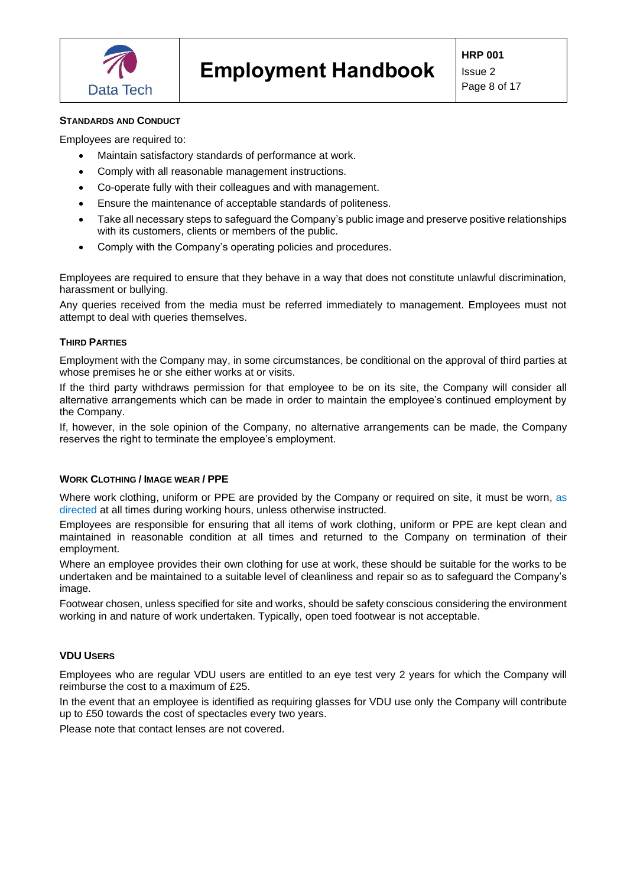

# <span id="page-7-0"></span>**STANDARDS AND CONDUCT**

Employees are required to:

- Maintain satisfactory standards of performance at work.
- Comply with all reasonable management instructions.
- Co-operate fully with their colleagues and with management.
- Ensure the maintenance of acceptable standards of politeness.
- Take all necessary steps to safeguard the Company's public image and preserve positive relationships with its customers, clients or members of the public.
- Comply with the Company's operating policies and procedures.

Employees are required to ensure that they behave in a way that does not constitute unlawful discrimination, harassment or bullying.

Any queries received from the media must be referred immediately to management. Employees must not attempt to deal with queries themselves.

## <span id="page-7-1"></span>**THIRD PARTIES**

Employment with the Company may, in some circumstances, be conditional on the approval of third parties at whose premises he or she either works at or visits.

If the third party withdraws permission for that employee to be on its site, the Company will consider all alternative arrangements which can be made in order to maintain the employee's continued employment by the Company.

If, however, in the sole opinion of the Company, no alternative arrangements can be made, the Company reserves the right to terminate the employee's employment.

## <span id="page-7-2"></span>**WORK CLOTHING / IMAGE WEAR / PPE**

Where work clothing, uniform or PPE are provided by the Company or required on site, it must be worn, as directed at all times during working hours, unless otherwise instructed.

Employees are responsible for ensuring that all items of work clothing, uniform or PPE are kept clean and maintained in reasonable condition at all times and returned to the Company on termination of their employment.

Where an employee provides their own clothing for use at work, these should be suitable for the works to be undertaken and be maintained to a suitable level of cleanliness and repair so as to safeguard the Company's image.

Footwear chosen, unless specified for site and works, should be safety conscious considering the environment working in and nature of work undertaken. Typically, open toed footwear is not acceptable.

## <span id="page-7-3"></span>**VDU USERS**

Employees who are regular VDU users are entitled to an eye test very 2 years for which the Company will reimburse the cost to a maximum of £25.

In the event that an employee is identified as requiring glasses for VDU use only the Company will contribute up to £50 towards the cost of spectacles every two years.

Please note that contact lenses are not covered.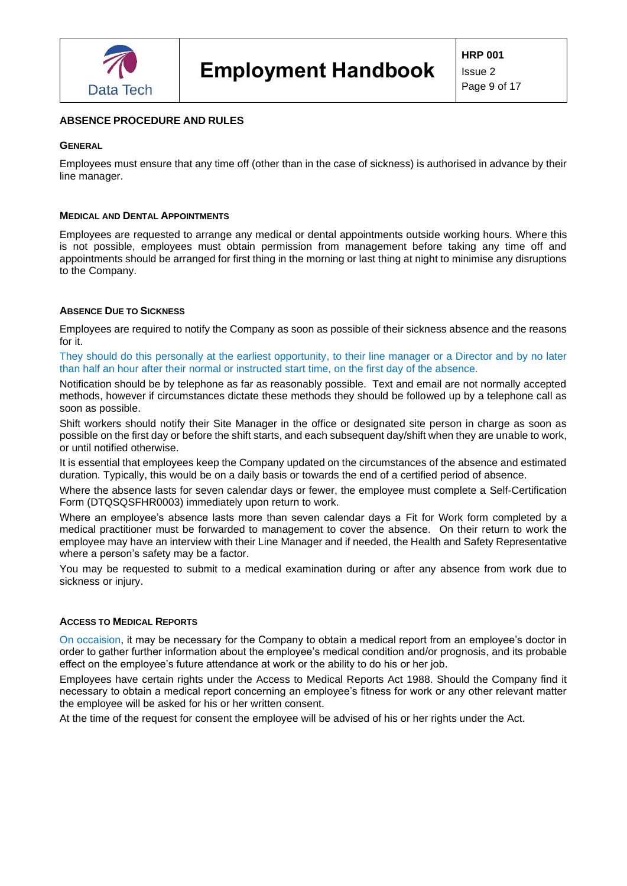

## <span id="page-8-0"></span>**ABSENCE PROCEDURE AND RULES**

#### <span id="page-8-1"></span>**GENERAL**

Employees must ensure that any time off (other than in the case of sickness) is authorised in advance by their line manager.

#### <span id="page-8-2"></span>**MEDICAL AND DENTAL APPOINTMENTS**

Employees are requested to arrange any medical or dental appointments outside working hours. Where this is not possible, employees must obtain permission from management before taking any time off and appointments should be arranged for first thing in the morning or last thing at night to minimise any disruptions to the Company.

#### <span id="page-8-3"></span>**ABSENCE DUE TO SICKNESS**

Employees are required to notify the Company as soon as possible of their sickness absence and the reasons for it.

They should do this personally at the earliest opportunity, to their line manager or a Director and by no later than half an hour after their normal or instructed start time, on the first day of the absence.

Notification should be by telephone as far as reasonably possible. Text and email are not normally accepted methods, however if circumstances dictate these methods they should be followed up by a telephone call as soon as possible.

Shift workers should notify their Site Manager in the office or designated site person in charge as soon as possible on the first day or before the shift starts, and each subsequent day/shift when they are unable to work, or until notified otherwise.

It is essential that employees keep the Company updated on the circumstances of the absence and estimated duration. Typically, this would be on a daily basis or towards the end of a certified period of absence.

Where the absence lasts for seven calendar days or fewer, the employee must complete a Self-Certification Form (DTQSQSFHR0003) immediately upon return to work.

Where an employee's absence lasts more than seven calendar days a Fit for Work form completed by a medical practitioner must be forwarded to management to cover the absence. On their return to work the employee may have an interview with their Line Manager and if needed, the Health and Safety Representative where a person's safety may be a factor.

You may be requested to submit to a medical examination during or after any absence from work due to sickness or injury.

#### <span id="page-8-4"></span>**ACCESS TO MEDICAL REPORTS**

On occaision, it may be necessary for the Company to obtain a medical report from an employee's doctor in order to gather further information about the employee's medical condition and/or prognosis, and its probable effect on the employee's future attendance at work or the ability to do his or her job.

Employees have certain rights under the Access to Medical Reports Act 1988. Should the Company find it necessary to obtain a medical report concerning an employee's fitness for work or any other relevant matter the employee will be asked for his or her written consent.

At the time of the request for consent the employee will be advised of his or her rights under the Act.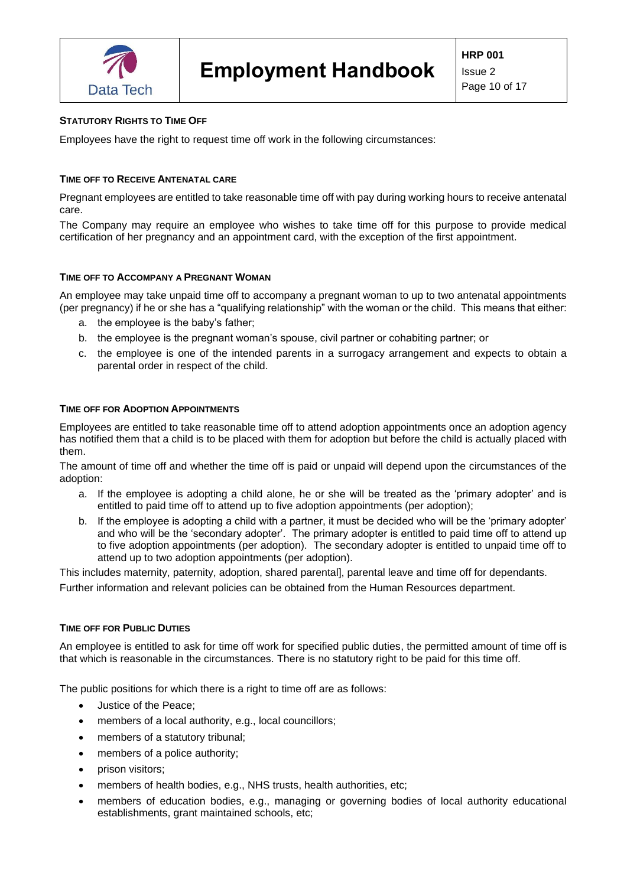

## <span id="page-9-0"></span>**STATUTORY RIGHTS TO TIME OFF**

Employees have the right to request time off work in the following circumstances:

## <span id="page-9-1"></span>**TIME OFF TO RECEIVE ANTENATAL CARE**

Pregnant employees are entitled to take reasonable time off with pay during working hours to receive antenatal care.

The Company may require an employee who wishes to take time off for this purpose to provide medical certification of her pregnancy and an appointment card, with the exception of the first appointment.

#### <span id="page-9-2"></span>**TIME OFF TO ACCOMPANY A PREGNANT WOMAN**

An employee may take unpaid time off to accompany a pregnant woman to up to two antenatal appointments (per pregnancy) if he or she has a "qualifying relationship" with the woman or the child. This means that either:

- a. the employee is the baby's father;
- b. the employee is the pregnant woman's spouse, civil partner or cohabiting partner; or
- c. the employee is one of the intended parents in a surrogacy arrangement and expects to obtain a parental order in respect of the child.

## <span id="page-9-3"></span>**TIME OFF FOR ADOPTION APPOINTMENTS**

Employees are entitled to take reasonable time off to attend adoption appointments once an adoption agency has notified them that a child is to be placed with them for adoption but before the child is actually placed with them.

The amount of time off and whether the time off is paid or unpaid will depend upon the circumstances of the adoption:

- a. If the employee is adopting a child alone, he or she will be treated as the 'primary adopter' and is entitled to paid time off to attend up to five adoption appointments (per adoption);
- b. If the employee is adopting a child with a partner, it must be decided who will be the 'primary adopter' and who will be the 'secondary adopter'. The primary adopter is entitled to paid time off to attend up to five adoption appointments (per adoption). The secondary adopter is entitled to unpaid time off to attend up to two adoption appointments (per adoption).

This includes maternity, paternity, adoption, shared parental], parental leave and time off for dependants. Further information and relevant policies can be obtained from the Human Resources department.

#### <span id="page-9-4"></span>**TIME OFF FOR PUBLIC DUTIES**

An employee is entitled to ask for time off work for specified public duties, the permitted amount of time off is that which is reasonable in the circumstances. There is no statutory right to be paid for this time off.

The public positions for which there is a right to time off are as follows:

- Justice of the Peace;
- members of a local authority, e.g., local councillors;
- members of a statutory tribunal;
- members of a police authority;
- prison visitors;
- members of health bodies, e.g., NHS trusts, health authorities, etc;
- members of education bodies, e.g., managing or governing bodies of local authority educational establishments, grant maintained schools, etc;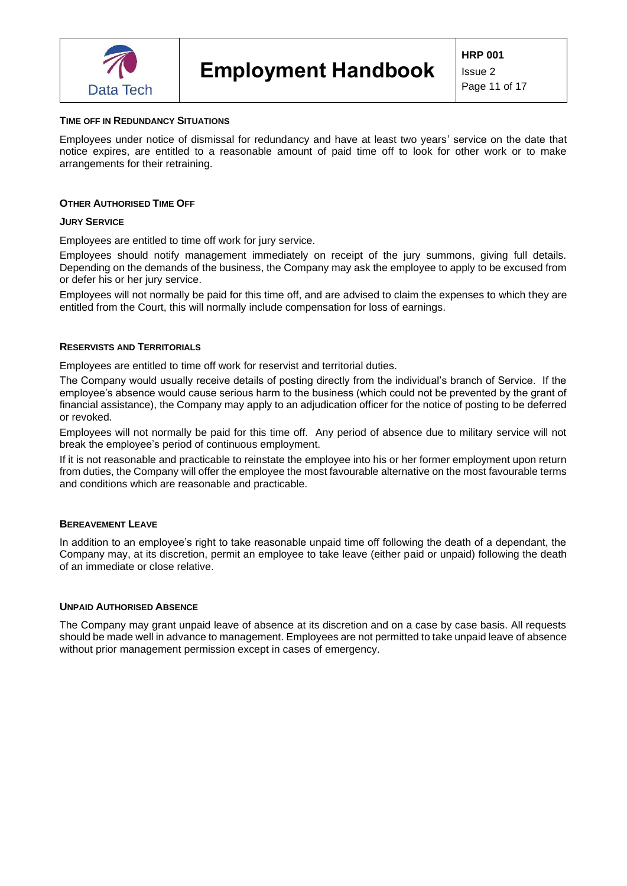

#### <span id="page-10-0"></span>**TIME OFF IN REDUNDANCY SITUATIONS**

Employees under notice of dismissal for redundancy and have at least two years' service on the date that notice expires, are entitled to a reasonable amount of paid time off to look for other work or to make arrangements for their retraining.

#### <span id="page-10-1"></span>**OTHER AUTHORISED TIME OFF**

#### <span id="page-10-2"></span>**JURY SERVICE**

Employees are entitled to time off work for jury service.

Employees should notify management immediately on receipt of the jury summons, giving full details. Depending on the demands of the business, the Company may ask the employee to apply to be excused from or defer his or her jury service.

Employees will not normally be paid for this time off, and are advised to claim the expenses to which they are entitled from the Court, this will normally include compensation for loss of earnings.

#### <span id="page-10-3"></span>**RESERVISTS AND TERRITORIALS**

Employees are entitled to time off work for reservist and territorial duties.

The Company would usually receive details of posting directly from the individual's branch of Service. If the employee's absence would cause serious harm to the business (which could not be prevented by the grant of financial assistance), the Company may apply to an adjudication officer for the notice of posting to be deferred or revoked.

Employees will not normally be paid for this time off. Any period of absence due to military service will not break the employee's period of continuous employment.

If it is not reasonable and practicable to reinstate the employee into his or her former employment upon return from duties, the Company will offer the employee the most favourable alternative on the most favourable terms and conditions which are reasonable and practicable.

#### <span id="page-10-4"></span>**BEREAVEMENT LEAVE**

In addition to an employee's right to take reasonable unpaid time off following the death of a dependant, the Company may, at its discretion, permit an employee to take leave (either paid or unpaid) following the death of an immediate or close relative.

#### <span id="page-10-5"></span>**UNPAID AUTHORISED ABSENCE**

The Company may grant unpaid leave of absence at its discretion and on a case by case basis. All requests should be made well in advance to management. Employees are not permitted to take unpaid leave of absence without prior management permission except in cases of emergency.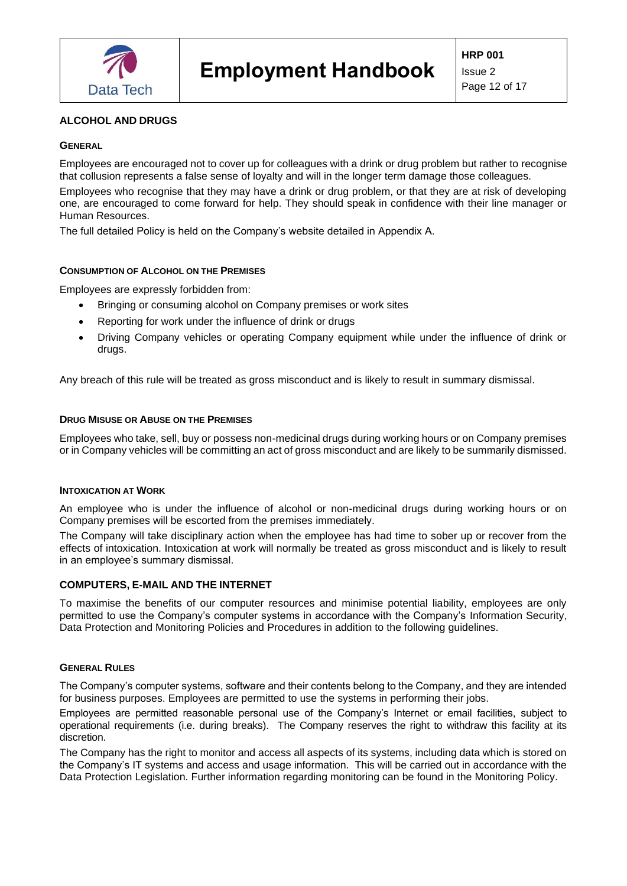

# <span id="page-11-0"></span>**ALCOHOL AND DRUGS**

# <span id="page-11-1"></span>**GENERAL**

Employees are encouraged not to cover up for colleagues with a drink or drug problem but rather to recognise that collusion represents a false sense of loyalty and will in the longer term damage those colleagues.

Employees who recognise that they may have a drink or drug problem, or that they are at risk of developing one, are encouraged to come forward for help. They should speak in confidence with their line manager or Human Resources.

The full detailed Policy is held on the Company's website detailed in Appendix A.

# <span id="page-11-2"></span>**CONSUMPTION OF ALCOHOL ON THE PREMISES**

Employees are expressly forbidden from:

- Bringing or consuming alcohol on Company premises or work sites
- Reporting for work under the influence of drink or drugs
- Driving Company vehicles or operating Company equipment while under the influence of drink or drugs.

Any breach of this rule will be treated as gross misconduct and is likely to result in summary dismissal.

# <span id="page-11-3"></span>**DRUG MISUSE OR ABUSE ON THE PREMISES**

Employees who take, sell, buy or possess non-medicinal drugs during working hours or on Company premises or in Company vehicles will be committing an act of gross misconduct and are likely to be summarily dismissed.

## <span id="page-11-4"></span>**INTOXICATION AT WORK**

An employee who is under the influence of alcohol or non-medicinal drugs during working hours or on Company premises will be escorted from the premises immediately.

The Company will take disciplinary action when the employee has had time to sober up or recover from the effects of intoxication. Intoxication at work will normally be treated as gross misconduct and is likely to result in an employee's summary dismissal.

## <span id="page-11-5"></span>**COMPUTERS, E-MAIL AND THE INTERNET**

To maximise the benefits of our computer resources and minimise potential liability, employees are only permitted to use the Company's computer systems in accordance with the Company's Information Security, Data Protection and Monitoring Policies and Procedures in addition to the following guidelines.

#### <span id="page-11-6"></span>**GENERAL RULES**

The Company's computer systems, software and their contents belong to the Company, and they are intended for business purposes. Employees are permitted to use the systems in performing their jobs.

Employees are permitted reasonable personal use of the Company's Internet or email facilities, subject to operational requirements (i.e. during breaks). The Company reserves the right to withdraw this facility at its discretion.

The Company has the right to monitor and access all aspects of its systems, including data which is stored on the Company's IT systems and access and usage information. This will be carried out in accordance with the Data Protection Legislation. Further information regarding monitoring can be found in the Monitoring Policy.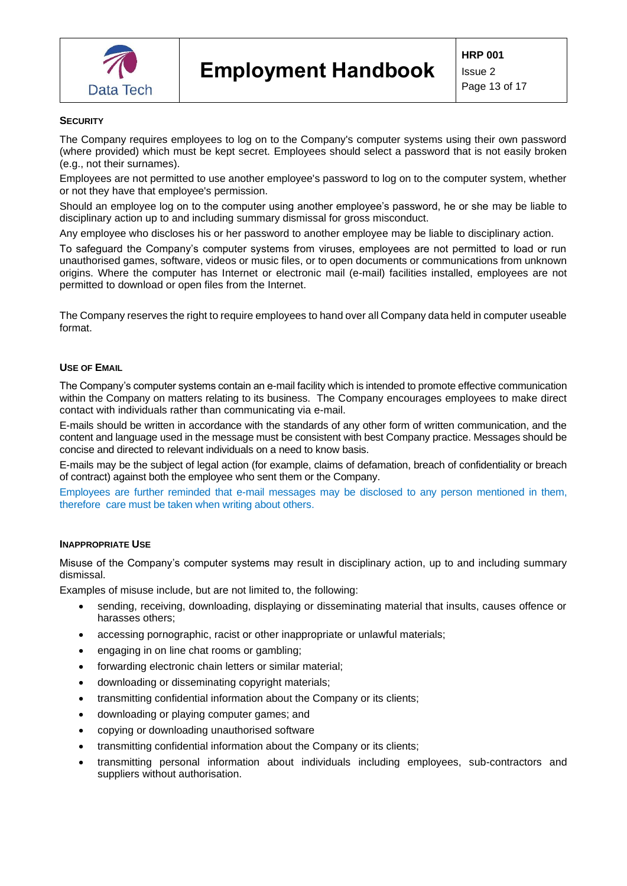

#### <span id="page-12-0"></span>**SECURITY**

The Company requires employees to log on to the Company's computer systems using their own password (where provided) which must be kept secret. Employees should select a password that is not easily broken (e.g., not their surnames).

Employees are not permitted to use another employee's password to log on to the computer system, whether or not they have that employee's permission.

Should an employee log on to the computer using another employee's password, he or she may be liable to disciplinary action up to and including summary dismissal for gross misconduct.

Any employee who discloses his or her password to another employee may be liable to disciplinary action.

To safeguard the Company's computer systems from viruses, employees are not permitted to load or run unauthorised games, software, videos or music files, or to open documents or communications from unknown origins. Where the computer has Internet or electronic mail (e-mail) facilities installed, employees are not permitted to download or open files from the Internet.

The Company reserves the right to require employees to hand over all Company data held in computer useable format.

#### <span id="page-12-1"></span>**USE OF EMAIL**

The Company's computer systems contain an e-mail facility which is intended to promote effective communication within the Company on matters relating to its business. The Company encourages employees to make direct contact with individuals rather than communicating via e-mail.

E-mails should be written in accordance with the standards of any other form of written communication, and the content and language used in the message must be consistent with best Company practice. Messages should be concise and directed to relevant individuals on a need to know basis.

E-mails may be the subject of legal action (for example, claims of defamation, breach of confidentiality or breach of contract) against both the employee who sent them or the Company.

Employees are further reminded that e-mail messages may be disclosed to any person mentioned in them, therefore care must be taken when writing about others.

#### <span id="page-12-2"></span>**INAPPROPRIATE USE**

Misuse of the Company's computer systems may result in disciplinary action, up to and including summary dismissal.

Examples of misuse include, but are not limited to, the following:

- sending, receiving, downloading, displaying or disseminating material that insults, causes offence or harasses others;
- accessing pornographic, racist or other inappropriate or unlawful materials;
- engaging in on line chat rooms or gambling;
- forwarding electronic chain letters or similar material;
- downloading or disseminating copyright materials;
- transmitting confidential information about the Company or its clients;
- downloading or playing computer games; and
- copying or downloading unauthorised software
- transmitting confidential information about the Company or its clients:
- transmitting personal information about individuals including employees, sub-contractors and suppliers without authorisation.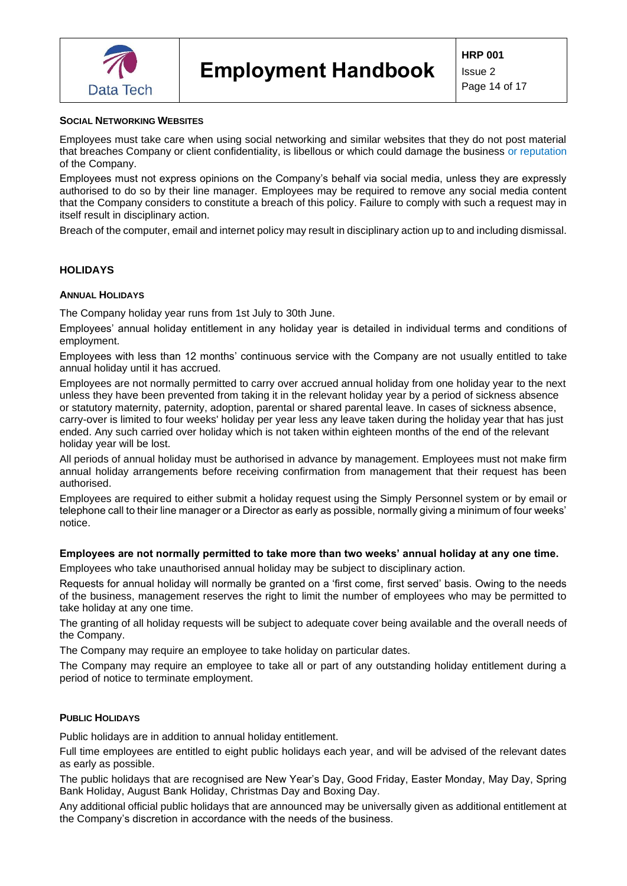

# <span id="page-13-0"></span>**SOCIAL NETWORKING WEBSITES**

Employees must take care when using social networking and similar websites that they do not post material that breaches Company or client confidentiality, is libellous or which could damage the business or reputation of the Company.

Employees must not express opinions on the Company's behalf via social media, unless they are expressly authorised to do so by their line manager. Employees may be required to remove any social media content that the Company considers to constitute a breach of this policy. Failure to comply with such a request may in itself result in disciplinary action.

Breach of the computer, email and internet policy may result in disciplinary action up to and including dismissal.

## <span id="page-13-1"></span>**HOLIDAYS**

#### <span id="page-13-2"></span>**ANNUAL HOLIDAYS**

The Company holiday year runs from 1st July to 30th June.

Employees' annual holiday entitlement in any holiday year is detailed in individual terms and conditions of employment.

Employees with less than 12 months' continuous service with the Company are not usually entitled to take annual holiday until it has accrued.

Employees are not normally permitted to carry over accrued annual holiday from one holiday year to the next unless they have been prevented from taking it in the relevant holiday year by a period of sickness absence or statutory maternity, paternity, adoption, parental or shared parental leave. In cases of sickness absence, carry-over is limited to four weeks' holiday per year less any leave taken during the holiday year that has just ended. Any such carried over holiday which is not taken within eighteen months of the end of the relevant holiday year will be lost.

All periods of annual holiday must be authorised in advance by management. Employees must not make firm annual holiday arrangements before receiving confirmation from management that their request has been authorised.

Employees are required to either submit a holiday request using the Simply Personnel system or by email or telephone call to their line manager or a Director as early as possible, normally giving a minimum of four weeks' notice.

# **Employees are not normally permitted to take more than two weeks' annual holiday at any one time.**

Employees who take unauthorised annual holiday may be subject to disciplinary action.

Requests for annual holiday will normally be granted on a 'first come, first served' basis. Owing to the needs of the business, management reserves the right to limit the number of employees who may be permitted to take holiday at any one time.

The granting of all holiday requests will be subject to adequate cover being available and the overall needs of the Company.

The Company may require an employee to take holiday on particular dates.

The Company may require an employee to take all or part of any outstanding holiday entitlement during a period of notice to terminate employment.

## <span id="page-13-3"></span>**PUBLIC HOLIDAYS**

Public holidays are in addition to annual holiday entitlement.

Full time employees are entitled to eight public holidays each year, and will be advised of the relevant dates as early as possible.

The public holidays that are recognised are New Year's Day, Good Friday, Easter Monday, May Day, Spring Bank Holiday, August Bank Holiday, Christmas Day and Boxing Day.

Any additional official public holidays that are announced may be universally given as additional entitlement at the Company's discretion in accordance with the needs of the business.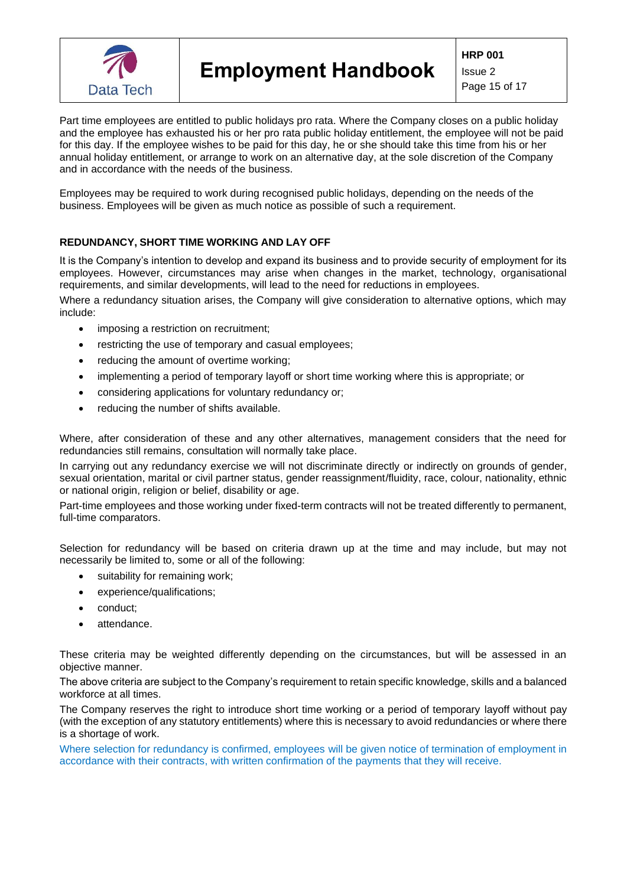

**HRP 001**

Issue 2 Page 15 of 17

Part time employees are entitled to public holidays pro rata. Where the Company closes on a public holiday and the employee has exhausted his or her pro rata public holiday entitlement, the employee will not be paid for this day. If the employee wishes to be paid for this day, he or she should take this time from his or her annual holiday entitlement, or arrange to work on an alternative day, at the sole discretion of the Company and in accordance with the needs of the business.

Employees may be required to work during recognised public holidays, depending on the needs of the business. Employees will be given as much notice as possible of such a requirement.

# <span id="page-14-0"></span>**REDUNDANCY, SHORT TIME WORKING AND LAY OFF**

It is the Company's intention to develop and expand its business and to provide security of employment for its employees. However, circumstances may arise when changes in the market, technology, organisational requirements, and similar developments, will lead to the need for reductions in employees.

Where a redundancy situation arises, the Company will give consideration to alternative options, which may include:

- imposing a restriction on recruitment;
- restricting the use of temporary and casual employees;
- reducing the amount of overtime working;
- implementing a period of temporary layoff or short time working where this is appropriate; or
- considering applications for voluntary redundancy or;
- reducing the number of shifts available.

Where, after consideration of these and any other alternatives, management considers that the need for redundancies still remains, consultation will normally take place.

In carrying out any redundancy exercise we will not discriminate directly or indirectly on grounds of gender, sexual orientation, marital or civil partner status, gender reassignment/fluidity, race, colour, nationality, ethnic or national origin, religion or belief, disability or age.

Part-time employees and those working under fixed-term contracts will not be treated differently to permanent, full-time comparators.

Selection for redundancy will be based on criteria drawn up at the time and may include, but may not necessarily be limited to, some or all of the following:

- suitability for remaining work;
- experience/qualifications;
- conduct;
- attendance.

These criteria may be weighted differently depending on the circumstances, but will be assessed in an objective manner.

The above criteria are subject to the Company's requirement to retain specific knowledge, skills and a balanced workforce at all times.

The Company reserves the right to introduce short time working or a period of temporary layoff without pay (with the exception of any statutory entitlements) where this is necessary to avoid redundancies or where there is a shortage of work.

Where selection for redundancy is confirmed, employees will be given notice of termination of employment in accordance with their contracts, with written confirmation of the payments that they will receive.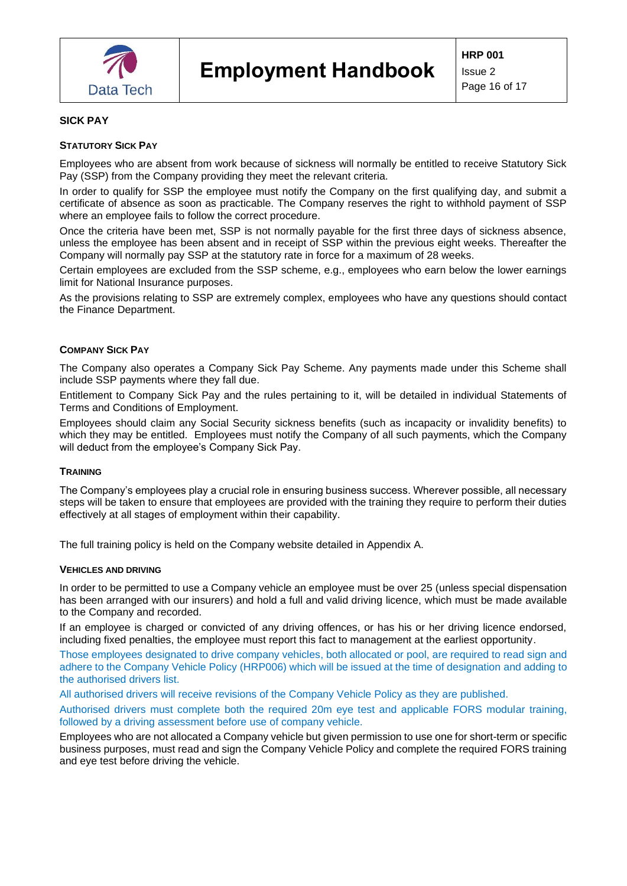

#### <span id="page-15-0"></span>**SICK PAY**

#### <span id="page-15-1"></span>**STATUTORY SICK PAY**

Employees who are absent from work because of sickness will normally be entitled to receive Statutory Sick Pay (SSP) from the Company providing they meet the relevant criteria.

In order to qualify for SSP the employee must notify the Company on the first qualifying day, and submit a certificate of absence as soon as practicable. The Company reserves the right to withhold payment of SSP where an employee fails to follow the correct procedure.

Once the criteria have been met, SSP is not normally payable for the first three days of sickness absence, unless the employee has been absent and in receipt of SSP within the previous eight weeks. Thereafter the Company will normally pay SSP at the statutory rate in force for a maximum of 28 weeks.

Certain employees are excluded from the SSP scheme, e.g., employees who earn below the lower earnings limit for National Insurance purposes.

As the provisions relating to SSP are extremely complex, employees who have any questions should contact the Finance Department.

#### <span id="page-15-2"></span>**COMPANY SICK PAY**

The Company also operates a Company Sick Pay Scheme. Any payments made under this Scheme shall include SSP payments where they fall due.

Entitlement to Company Sick Pay and the rules pertaining to it, will be detailed in individual Statements of Terms and Conditions of Employment.

Employees should claim any Social Security sickness benefits (such as incapacity or invalidity benefits) to which they may be entitled. Employees must notify the Company of all such payments, which the Company will deduct from the employee's Company Sick Pay.

#### <span id="page-15-3"></span>**TRAINING**

The Company's employees play a crucial role in ensuring business success. Wherever possible, all necessary steps will be taken to ensure that employees are provided with the training they require to perform their duties effectively at all stages of employment within their capability.

The full training policy is held on the Company website detailed in Appendix A.

#### <span id="page-15-4"></span>**VEHICLES AND DRIVING**

In order to be permitted to use a Company vehicle an employee must be over 25 (unless special dispensation has been arranged with our insurers) and hold a full and valid driving licence, which must be made available to the Company and recorded.

If an employee is charged or convicted of any driving offences, or has his or her driving licence endorsed, including fixed penalties, the employee must report this fact to management at the earliest opportunity.

Those employees designated to drive company vehicles, both allocated or pool, are required to read sign and adhere to the Company Vehicle Policy (HRP006) which will be issued at the time of designation and adding to the authorised drivers list.

All authorised drivers will receive revisions of the Company Vehicle Policy as they are published.

Authorised drivers must complete both the required 20m eye test and applicable FORS modular training, followed by a driving assessment before use of company vehicle.

Employees who are not allocated a Company vehicle but given permission to use one for short-term or specific business purposes, must read and sign the Company Vehicle Policy and complete the required FORS training and eye test before driving the vehicle.